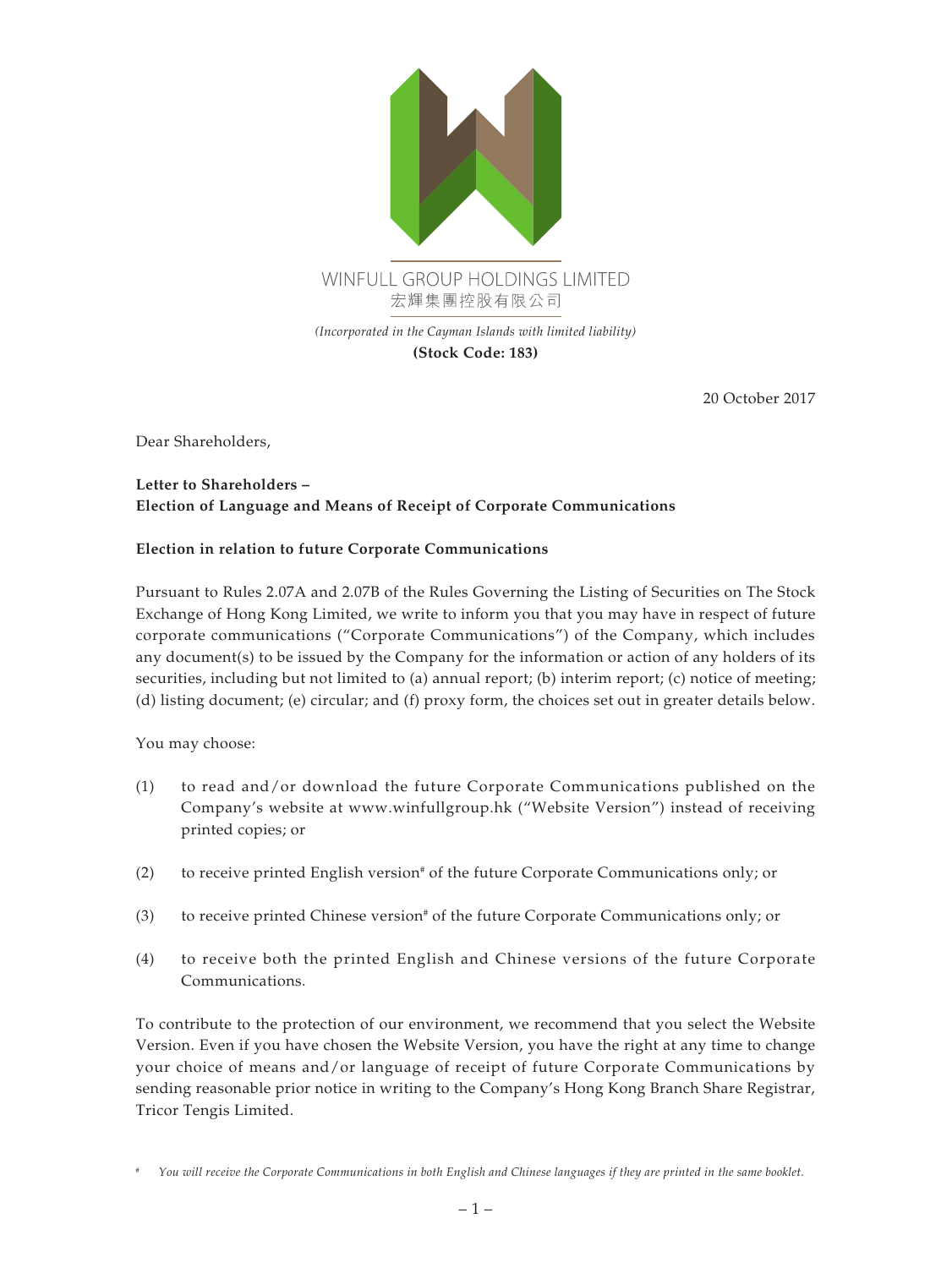

20 October 2017

Dear Shareholders,

## **Letter to Shareholders – Election of Language and Means of Receipt of Corporate Communications**

## **Election in relation to future Corporate Communications**

Pursuant to Rules 2.07A and 2.07B of the Rules Governing the Listing of Securities on The Stock Exchange of Hong Kong Limited, we write to inform you that you may have in respect of future corporate communications ("Corporate Communications") of the Company, which includes any document(s) to be issued by the Company for the information or action of any holders of its securities, including but not limited to (a) annual report; (b) interim report; (c) notice of meeting; (d) listing document; (e) circular; and (f) proxy form, the choices set out in greater details below.

You may choose:

- (1) to read and/or download the future Corporate Communications published on the Company's website at www.winfullgroup.hk ("Website Version") instead of receiving printed copies; or
- (2) to receive printed English version<sup>#</sup> of the future Corporate Communications only; or
- (3) to receive printed Chinese version<sup>#</sup> of the future Corporate Communications only; or
- (4) to receive both the printed English and Chinese versions of the future Corporate Communications.

To contribute to the protection of our environment, we recommend that you select the Website Version. Even if you have chosen the Website Version, you have the right at any time to change your choice of means and/or language of receipt of future Corporate Communications by sending reasonable prior notice in writing to the Company's Hong Kong Branch Share Registrar, Tricor Tengis Limited.

*<sup>#</sup> You will receive the Corporate Communications in both English and Chinese languages if they are printed in the same booklet.*